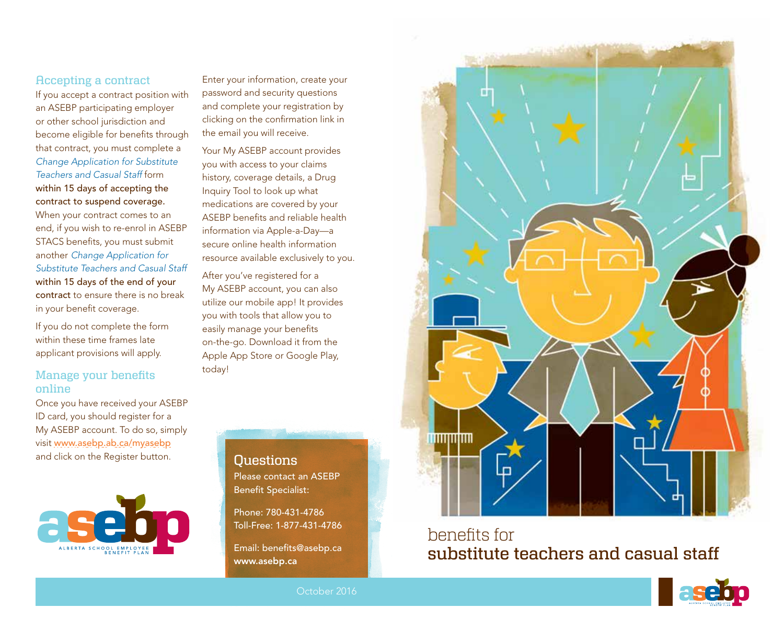### Accepting a contract

If you accept a contract position with an ASEBP participating employer or other school jurisdiction and become eligible for benefits through that contract, you must complete a *Change Application for Substitute Teachers and Casual Staff* form within 15 days of accepting the contract to suspend coverage.

When your contract comes to an end, if you wish to re-enrol in ASEBP STACS benefits, you must submit another *Change Application for Substitute Teachers and Casual Staff* within 15 days of the end of your contract to ensure there is no break in your benefit coverage.

If you do not complete the form within these time frames late applicant provisions will apply.

### Manage your benefits online

Once you have received your ASEBP ID card, you should register for a My ASEBP account. To do so, simply visit www.asebp.ab.ca/myasebp and click on the Register button.



Enter your information, create your password and security questions and complete your registration by clicking on the confirmation link in the email you will receive.

Your My ASEBP account provides you with access to your claims history, coverage details, a Drug Inquiry Tool to look up what medications are covered by your ASEBP benefits and reliable health information via Apple-a-Day—a secure online health information resource available exclusively to you.

After you've registered for a My ASEBP account, you can also utilize our mobile app! It provides you with tools that allow you to easily manage your benefits on-the-go. Download it from the Apple App Store or Google Play, today!

> Questions Please contact an ASEBP Benefit Specialist:

Phone: 780-431-4786 Toll-Free: 1-877-431-4786

Email: benefits@asebp.ca www.asebp.ca



benefits for substitute teachers and casual staff

![](_page_0_Picture_15.jpeg)

![](_page_0_Picture_16.jpeg)